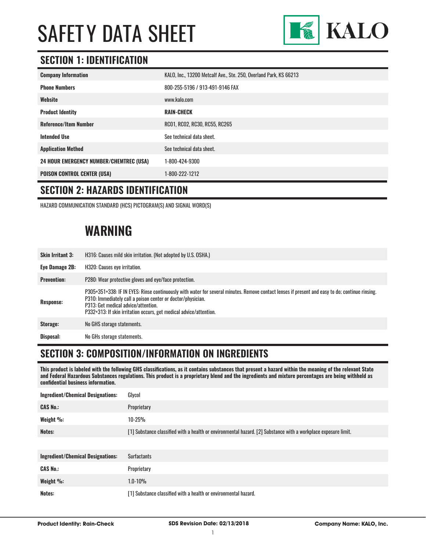

#### **SECTION 1: IDENTIFICATION**

| <b>Company Information</b>                     | KALO, Inc., 13200 Metcalf Ave., Ste. 250, Overland Park, KS 66213 |
|------------------------------------------------|-------------------------------------------------------------------|
| <b>Phone Numbers</b>                           | 800-255-5196 / 913-491-9146 FAX                                   |
| Website                                        | www.kalo.com                                                      |
| <b>Product Identity</b>                        | <b>RAIN-CHECK</b>                                                 |
| <b>Reference/Item Number</b>                   | RC01, RC02, RC30, RC55, RC265                                     |
| <b>Intended Use</b>                            | See technical data sheet.                                         |
| <b>Application Method</b>                      | See technical data sheet.                                         |
| <b>24 HOUR EMERGENCY NUMBER/CHEMTREC (USA)</b> | 1-800-424-9300                                                    |
| <b>POISON CONTROL CENTER (USA)</b>             | 1-800-222-1212                                                    |

#### **SECTION 2: HAZARDS IDENTIFICATION**

HAZARD COMMUNICATION STANDARD (HCS) PICTOGRAM(S) AND SIGNAL WORD(S)

### **WARNING**

| <b>Skin Irritant 3:</b> | H316: Causes mild skin irritation. (Not adopted by U.S. OSHA.)                                                                                                                                                                                                                                                              |
|-------------------------|-----------------------------------------------------------------------------------------------------------------------------------------------------------------------------------------------------------------------------------------------------------------------------------------------------------------------------|
| Eye Damage 2B:          | H320: Causes eye irritation.                                                                                                                                                                                                                                                                                                |
| <b>Prevention:</b>      | P280: Wear protective gloves and eye/face protection.                                                                                                                                                                                                                                                                       |
| Response:               | P305+351+338: IF IN EYES: Rinse continuously with water for several minutes. Remove contact lenses if present and easy to do; continue rinsing.<br>P310: Immediately call a poison center or doctor/physician.<br>P313: Get medical advice/attention.<br>P332+313: If skin irritation occurs, get medical advice/attention. |
| Storage:                | No GHS storage statements.                                                                                                                                                                                                                                                                                                  |
| Disposal:               | No GHs storage statements.                                                                                                                                                                                                                                                                                                  |

#### **SECTION 3: COMPOSITION/INFORMATION ON INGREDIENTS**

**This product is labeled with the following GHS classifications, as it contains substances that present a hazard within the meaning of the relevant State and Federal Hazardous Substances regulations. This product is a proprietary blend and the ingredients and mixture percentages are being withheld as confidential business information.**

| <b>Ingredient/Chemical Designations:</b> | Glycol                                                                                                         |
|------------------------------------------|----------------------------------------------------------------------------------------------------------------|
| <b>CAS No.:</b>                          | Proprietary                                                                                                    |
| Weight %:                                | $10 - 25%$                                                                                                     |
| Notes:                                   | [1] Substance classified with a health or environmental hazard. [2] Substance with a workplace exposure limit. |
|                                          |                                                                                                                |
| <b>Ingredient/Chemical Designations:</b> | <b>Surfactants</b>                                                                                             |
| <b>CAS No.:</b>                          | Proprietary                                                                                                    |
| Weight %:                                | $1.0 - 10%$                                                                                                    |
| Notes:                                   | [1] Substance classified with a health or environmental hazard.                                                |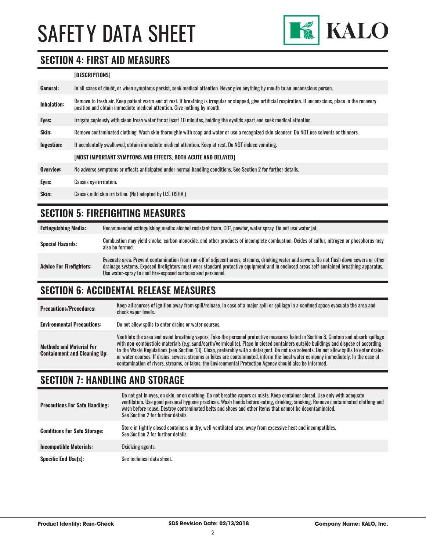

#### **SECTION 4: FIRST AID MEASURES**

#### **[DESCRIPTIONS]**

| General:     | In all cases of doubt, or when symptoms persist, seek medical attention. Never give anything by mouth to an unconscious person.                                                                                                         |
|--------------|-----------------------------------------------------------------------------------------------------------------------------------------------------------------------------------------------------------------------------------------|
| Inhalation:  | Remove to fresh air. Keep patient warm and at rest. If breathing is irregular or stopped, give artificial respiration. If unconscious, place in the recovery<br>position and obtain immediate medical attention. Give nothing by mouth. |
| Eyes:        | Irrigate copiously with clean fresh water for at least 10 minutes, holding the eyelids apart and seek medical attention.                                                                                                                |
| <b>Skin:</b> | Remove contaminated clothing. Wash skin thoroughly with soap and water or use a recognized skin cleanser. Do NOT use solvents or thinners.                                                                                              |
| Ingestion:   | If accidentally swallowed, obtain immediate medical attention. Keep at rest. Do NOT induce vomiting.                                                                                                                                    |
|              | [MOST IMPORTANT SYMPTOMS AND EFFECTS, BOTH ACUTE AND DELAYED]                                                                                                                                                                           |
| Overview:    | No adverse symptoms or effects anticipated under normal handling conditions. See Section 2 for further details.                                                                                                                         |
| Eyes:        | <b>Causes eye irritation.</b>                                                                                                                                                                                                           |
| Skin:        | Causes mild skin irritation. (Not adopted by U.S. OSHA.)                                                                                                                                                                                |

#### **SECTION 5: FIREFIGHTING MEASURES**

| <b>Extinguishing Media:</b>     | Recommended extinguishing media: alcohol resistant foam, CO <sup>2</sup> , powder, water spray. Do not use water jet.                                                                                                                                                                                                                                  |
|---------------------------------|--------------------------------------------------------------------------------------------------------------------------------------------------------------------------------------------------------------------------------------------------------------------------------------------------------------------------------------------------------|
| <b>Special Hazards:</b>         | Combustion may yield smoke, carbon monoxide, and other products of incomplete combustion. Oxides of sulfur, nitrogen or phosphorus may<br>also be formed.                                                                                                                                                                                              |
| <b>Advice For Firefighters:</b> | Evacuate area. Prevent contamination from run-off of adjacent areas, streams, drinking water and sewers. Do not flush down sewers or other<br>drainage systems. Exposed firefighters must wear standard protective equipment and in enclosed areas self-contained breathing apparatus.<br>Use water-spray to cool fire-exposed surfaces and personnel. |

#### **SECTION 6: ACCIDENTAL RELEASE MEASURES**

| <b>Precautions/Procedures:</b>                                         | Keep all sources of ignition away from spill/release. In case of a major spill or spillage in a confined space evacuate the area and<br>check vapor levels.                                                                                                                                                                                                                                                                                                                                                                                                                                                                                                               |
|------------------------------------------------------------------------|---------------------------------------------------------------------------------------------------------------------------------------------------------------------------------------------------------------------------------------------------------------------------------------------------------------------------------------------------------------------------------------------------------------------------------------------------------------------------------------------------------------------------------------------------------------------------------------------------------------------------------------------------------------------------|
| <b>Environmental Precautions:</b>                                      | Do not allow spills to enter drains or water courses.                                                                                                                                                                                                                                                                                                                                                                                                                                                                                                                                                                                                                     |
| <b>Methods and Material For</b><br><b>Containment and Cleaning Up:</b> | Ventilate the area and avoid breathing vapors. Take the personal protective measures listed in Section 8. Contain and absorb spillage<br>with non-combustible materials (e.g. sand/earth/vermiculite). Place in closed containers outside buildings and dispose of according<br>to the Waste Regulations (see Section 13). Clean, preferably with a detergent. Do not use solvents. Do not allow spills to enter drains<br>or water courses. If drains, sewers, streams or lakes are contaminated, inform the local water company immediately. In the case of<br>contamination of rivers, streams, or lakes, the Environmental Protection Agency should also be informed. |

#### **SECTION 7: HANDLING AND STORAGE**

| <b>Precautions For Safe Handling:</b> | Do not get in eyes, on skin, or on clothing. Do not breathe vapors or mists. Keep container closed. Use only with adequate<br>ventilation. Use good personal hygiene practices. Wash hands before eating, drinking, smoking. Remove contaminated clothing and<br>wash before reuse. Destroy contaminated belts and shoes and other items that cannot be decontaminated.<br>See Section 2 for further details. |
|---------------------------------------|---------------------------------------------------------------------------------------------------------------------------------------------------------------------------------------------------------------------------------------------------------------------------------------------------------------------------------------------------------------------------------------------------------------|
| <b>Conditions For Safe Storage:</b>   | Store in tightly closed containers in dry, well-ventilated area, away from excessive heat and incompatibles.<br>See Section 2 for further details.                                                                                                                                                                                                                                                            |
| <b>Incompatible Materials:</b>        | Oxidizing agents.                                                                                                                                                                                                                                                                                                                                                                                             |
| <b>Specific End Use(s):</b>           | See technical data sheet.                                                                                                                                                                                                                                                                                                                                                                                     |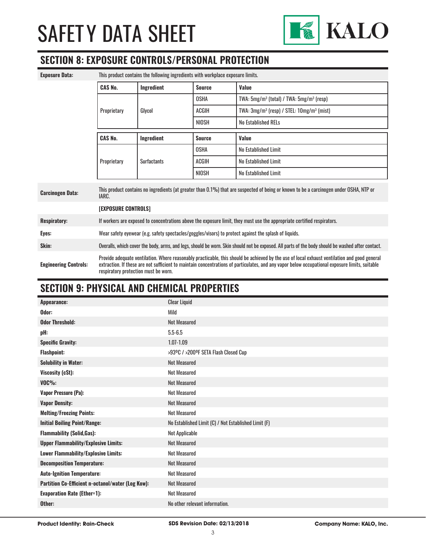

#### **SECTION 8: EXPOSURE CONTROLS/PERSONAL PROTECTION**

| <b>Exposure Data:</b>        | This product contains the following ingredients with workplace exposure limits.                                                                                                                                                                                                                                                        |                    |               |                                                                                                                                                   |
|------------------------------|----------------------------------------------------------------------------------------------------------------------------------------------------------------------------------------------------------------------------------------------------------------------------------------------------------------------------------------|--------------------|---------------|---------------------------------------------------------------------------------------------------------------------------------------------------|
|                              | <b>CAS No.</b>                                                                                                                                                                                                                                                                                                                         | Ingredient         | <b>Source</b> | Value                                                                                                                                             |
|                              |                                                                                                                                                                                                                                                                                                                                        | Glycol             | <b>OSHA</b>   | TWA: $5mg/m^3$ (total) / TWA: $5mg/m^3$ (resp)                                                                                                    |
|                              | Proprietary                                                                                                                                                                                                                                                                                                                            |                    | <b>ACGIH</b>  | TWA: 3mg/m <sup>3</sup> (resp) / STEL: 10mg/m <sup>3</sup> (mist)                                                                                 |
|                              |                                                                                                                                                                                                                                                                                                                                        |                    | NIOSH         | <b>No Established RELs</b>                                                                                                                        |
|                              | <b>CAS No.</b>                                                                                                                                                                                                                                                                                                                         | Ingredient         | <b>Source</b> | Value                                                                                                                                             |
|                              |                                                                                                                                                                                                                                                                                                                                        | <b>Surfactants</b> | <b>OSHA</b>   | No Established Limit                                                                                                                              |
|                              | Proprietary                                                                                                                                                                                                                                                                                                                            |                    | <b>ACGIH</b>  | No Established Limit                                                                                                                              |
|                              |                                                                                                                                                                                                                                                                                                                                        |                    | NIOSH         | No Established Limit                                                                                                                              |
| <b>Carcinogen Data:</b>      | This product contains no ingredients (at greater than 0.1%) that are suspected of being or known to be a carcinogen under OSHA, NTP or<br>IARC.                                                                                                                                                                                        |                    |               |                                                                                                                                                   |
|                              | [EXPOSURE CONTROLS]                                                                                                                                                                                                                                                                                                                    |                    |               |                                                                                                                                                   |
| <b>Respiratory:</b>          | If workers are exposed to concentrations above the exposure limit, they must use the appropriate certified respirators.                                                                                                                                                                                                                |                    |               |                                                                                                                                                   |
| Eyes:                        | Wear safety eyewear (e.g. safety spectacles/goggles/visors) to protect against the splash of liquids.                                                                                                                                                                                                                                  |                    |               |                                                                                                                                                   |
| Skin:                        |                                                                                                                                                                                                                                                                                                                                        |                    |               | Overalls, which cover the body, arms, and legs, should be worn. Skin should not be exposed. All parts of the body should be washed after contact. |
| <b>Engineering Controls:</b> | Provide adequate ventilation. Where reasonably practicable, this should be achieved by the use of local exhaust ventilation and good general<br>extraction. If these are not sufficient to maintain concentrations of particulates, and any vapor below occupational exposure limits, suitable<br>respiratory protection must be worn. |                    |               |                                                                                                                                                   |

### **SECTION 9: PHYSICAL AND CHEMICAL PROPERTIES**

| Appearance:                                       | <b>Clear Liquid</b>                                  |
|---------------------------------------------------|------------------------------------------------------|
| Odor:                                             | Mild                                                 |
| <b>Odor Threshold:</b>                            | <b>Not Measured</b>                                  |
| pH:                                               | $5.5 - 6.5$                                          |
| <b>Specific Gravity:</b>                          | 1.07-1.09                                            |
| <b>Flashpoint:</b>                                | >93ºC / >200ºF SETA Flash Closed Cup                 |
| <b>Solubility in Water:</b>                       | <b>Not Measured</b>                                  |
| Viscosity (cSt):                                  | <b>Not Measured</b>                                  |
| $VOC\%$ :                                         | <b>Not Measured</b>                                  |
| <b>Vapor Pressure (Pa):</b>                       | <b>Not Measured</b>                                  |
| <b>Vapor Density:</b>                             | Not Measured                                         |
| <b>Melting/Freezing Points:</b>                   | <b>Not Measured</b>                                  |
| <b>Initial Boiling Point/Range:</b>               | No Established Limit (C) / Not Established Limit (F) |
| <b>Flammability (Solid, Gas):</b>                 | Not Applicable                                       |
| <b>Upper Flammability/Explosive Limits:</b>       | <b>Not Measured</b>                                  |
| Lower Flammability/Explosive Limits:              | <b>Not Measured</b>                                  |
| <b>Decomposition Temperature:</b>                 | <b>Not Measured</b>                                  |
| <b>Auto-Ignition Temperature:</b>                 | <b>Not Measured</b>                                  |
| Partition Co-Efficient n-octanol/water (Log Kow): | <b>Not Measured</b>                                  |
| <b>Evaporation Rate (Ether=1):</b>                | Not Measured                                         |
| Other:                                            | No other relevant information.                       |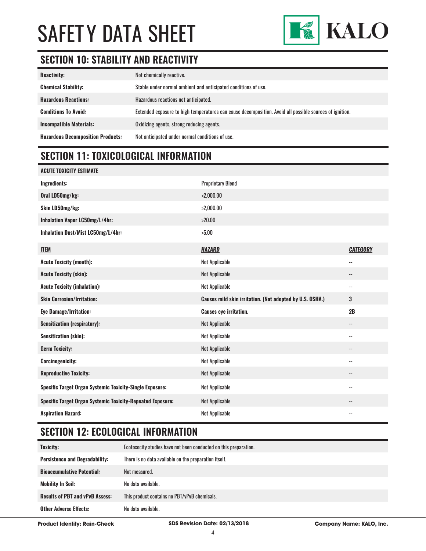

#### **SECTION 10: STABILITY AND REACTIVITY**

| <b>Reactivity:</b>                       | Not chemically reactive.                                                                                |
|------------------------------------------|---------------------------------------------------------------------------------------------------------|
| <b>Chemical Stability:</b>               | Stable under normal ambient and anticipated conditions of use.                                          |
| <b>Hazardous Reactions:</b>              | Hazardous reactions not anticipated.                                                                    |
| <b>Conditions To Avoid:</b>              | Extended exposure to high temperatures can cause decomposition. Avoid all possible sources of ignition. |
| <b>Incompatible Materials:</b>           | Oxidizing agents, strong reducing agents.                                                               |
| <b>Hazardous Decomposition Products:</b> | Not anticipated under normal conditions of use.                                                         |

#### **SECTION 11: TOXICOLOGICAL INFORMATION**

| <b>ACUTE TOXICITY ESTIMATE</b>                                    |                                                          |                          |
|-------------------------------------------------------------------|----------------------------------------------------------|--------------------------|
| Ingredients:                                                      | <b>Proprietary Blend</b>                                 |                          |
| Oral LD50mg/kg:                                                   | >2,000.00                                                |                          |
| Skin LD50mg/kg:                                                   | >2,000.00                                                |                          |
| Inhalation Vapor LC50mg/L/4hr:                                    | >20.00                                                   |                          |
| Inhalation Dust/Mist LC50mg/L/4hr:                                | >5.00                                                    |                          |
| <b>ITEM</b>                                                       | <b>HAZARD</b>                                            | <b>CATEGORY</b>          |
| <b>Acute Toxicity (mouth):</b>                                    | <b>Not Applicable</b>                                    | $\overline{\phantom{a}}$ |
| <b>Acute Toxicity (skin):</b>                                     | <b>Not Applicable</b>                                    | $\overline{\phantom{a}}$ |
| <b>Acute Toxicity (inhalation):</b>                               | <b>Not Applicable</b>                                    | $\overline{\phantom{a}}$ |
|                                                                   |                                                          |                          |
| <b>Skin Corrosion/Irritation:</b>                                 | Causes mild skin irritation. (Not adopted by U.S. OSHA.) | 3                        |
| <b>Eye Damage/Irritation:</b>                                     | <b>Causes eye irritation.</b>                            | 2B                       |
| <b>Sensitization (respiratory):</b>                               | <b>Not Applicable</b>                                    | $\overline{\phantom{a}}$ |
| <b>Sensitization (skin):</b>                                      | <b>Not Applicable</b>                                    | $\overline{\phantom{a}}$ |
| <b>Germ Toxicity:</b>                                             | <b>Not Applicable</b>                                    | --                       |
| <b>Carcinogenicity:</b>                                           | <b>Not Applicable</b>                                    | $\overline{\phantom{a}}$ |
| <b>Reproductive Toxicity:</b>                                     | <b>Not Applicable</b>                                    | --                       |
| Specific Target Organ Systemic Toxicity-Single Exposure:          | <b>Not Applicable</b>                                    | $\overline{\phantom{a}}$ |
| <b>Specific Target Organ Systemic Toxicity-Repeated Exposure:</b> | <b>Not Applicable</b>                                    | $\overline{\phantom{a}}$ |

### **SECTION 12: ECOLOGICAL INFORMATION**

| <b>Toxicity:</b>                       | Ecotoxocity studies have not been conducted on this preparation. |
|----------------------------------------|------------------------------------------------------------------|
| <b>Persistence and Degradability:</b>  | There is no data available on the preparation itself.            |
| <b>Bioaccumulative Potential:</b>      | Not measured.                                                    |
| <b>Mobility In Soil:</b>               | No data available.                                               |
| <b>Results of PBT and vPvB Assess:</b> | This product contains no PBT/vPvB chemicals.                     |
| <b>Other Adverse Effects:</b>          | No data available.                                               |